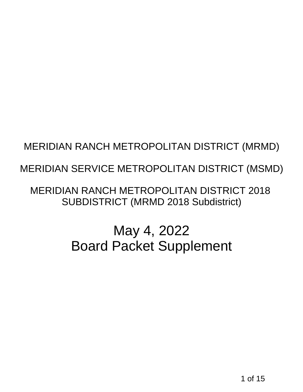# MERIDIAN SERVICE METROPOLITAN DISTRICT (MSMD)

# MERIDIAN RANCH METROPOLITAN DISTRICT (MRMD)<br>1 MERIDIAN SERVICE METROPOLITAN DISTRICT (MSMD<br>1 MERIDIAN RANCH METROPOLITAN DISTRICT 2018<br>5 UBDISTRICT (MRMD 2018 Subdistrict)<br>1 May 4, 2022<br>Board Packet Supplement<br>1 May 4, 101 MERIDIAN RANCH METROPOLITAN DISTRICT 2018 SUBDISTRICT (MRMD 2018 Subdistrict)

# May 4, 2022 Board Packet Supplement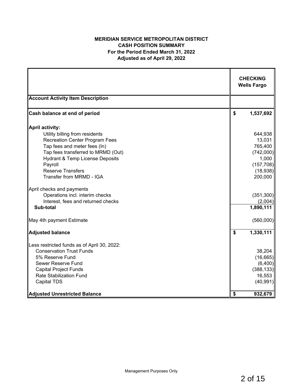### **MERIDIAN SERVICE METROPOLITAN DISTRICT CASH POSITION SUMMARY For the Period Ended March 31, 2022 Adjusted as of April 29, 2022**

|                                             | <b>CHECKING</b><br><b>Wells Fargo</b> |
|---------------------------------------------|---------------------------------------|
| <b>Account Activity Item Description</b>    |                                       |
| Cash balance at end of period               | \$<br>1,537,692                       |
| <b>April activity:</b>                      |                                       |
| Utility billing from residents              | 644,938                               |
| <b>Recreation Center Program Fees</b>       | 13,031                                |
| Tap fees and meter fees (In)                | 765,400                               |
| Tap fees transferred to MRMD (Out)          | (742,000)                             |
| Hydrant & Temp License Deposits             | 1,000                                 |
| Payroll<br><b>Reserve Transfers</b>         | (157, 708)                            |
| Transfer from MRMD - IGA                    | (18,938)<br>200,000                   |
| April checks and payments                   |                                       |
| Operations incl. interim checks             | (351, 300)                            |
| Interest, fees and returned checks          | (2,004)                               |
| Sub-total                                   | 1,890,111                             |
| May 4th payment Estimate                    | (560,000)                             |
| <b>Adjusted balance</b>                     | \$<br>1,330,111                       |
| Less restricted funds as of April 30, 2022: |                                       |
| <b>Conservation Trust Funds</b>             | 38,204                                |
| 5% Reserve Fund                             | (16, 665)                             |
| Sewer Reserve Fund                          | (6,400)                               |
| <b>Capital Project Funds</b>                | (388, 133)                            |
| <b>Rate Stabilization Fund</b>              | 16,553                                |
| <b>Capital TDS</b>                          | (40, 991)                             |
| <b>Adjusted Unrestricted Balance</b>        | \$<br>932,679                         |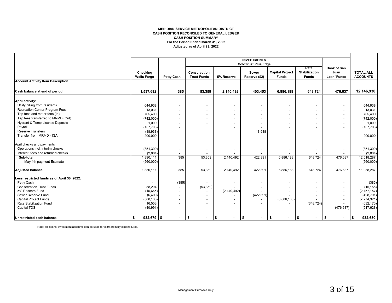#### **MERIDIAN SERVICE METROPOLITAN DISTRICT CASH POSITION RECONCILED TO GENERAL LEDGER For the Period Ended March 31, 2022 Adjusted as of April 29, 2022 CASH POSITION SUMMARY**

|                                             |                                |                          |                                    |                          | <b>INVESTMENTS</b>            |                                        |                                              |                                                  |                                     |
|---------------------------------------------|--------------------------------|--------------------------|------------------------------------|--------------------------|-------------------------------|----------------------------------------|----------------------------------------------|--------------------------------------------------|-------------------------------------|
|                                             |                                |                          |                                    |                          | <b>ColoTrust Plus/Edge</b>    |                                        |                                              |                                                  |                                     |
|                                             | Checking<br><b>Wells Fargo</b> | <b>Petty Cash</b>        | Conservation<br><b>Trust Funds</b> | 5% Reserve               | <b>Sewer</b><br>Reserve (\$2) | <b>Capital Project</b><br><b>Funds</b> | Rate<br><b>Stabilization</b><br><b>Funds</b> | <b>Bank of San</b><br>Juan<br><b>Loan 'Funds</b> | <b>TOTAL ALL</b><br><b>ACCOUNTS</b> |
| <b>Account Activity Item Description</b>    |                                |                          |                                    |                          |                               |                                        |                                              |                                                  |                                     |
| Cash balance at end of period               | 1,537,692                      | 385                      | 53,359                             | 2,140,492                | 403,453                       | 6,886,188                              | 648.724                                      | 476,637                                          | 12,146,930                          |
| April activity:                             |                                |                          |                                    |                          |                               |                                        |                                              |                                                  |                                     |
| Utility billing from residents              | 644,938                        | $\blacksquare$           |                                    | $\overline{\phantom{a}}$ |                               |                                        | $\overline{\phantom{a}}$                     |                                                  | 644,938                             |
| <b>Recreation Center Program Fees</b>       | 13,031                         | $\blacksquare$           |                                    | $\overline{\phantom{a}}$ |                               |                                        | $\overline{\phantom{a}}$                     |                                                  | 13,031                              |
| Tap fees and meter fees (In)                | 765,400                        | $\overline{\phantom{a}}$ |                                    |                          |                               |                                        | $\overline{\phantom{a}}$                     |                                                  | 765,400                             |
| Tap fees transferred to MRMD (Out)          | (742,000)                      | $\overline{\phantom{0}}$ |                                    |                          |                               |                                        | $\blacksquare$                               |                                                  | (742,000)                           |
| <b>Hydrant &amp; Temp License Deposits</b>  | 1,000                          | $\overline{\phantom{0}}$ |                                    |                          |                               |                                        | $\blacksquare$                               |                                                  | 1,000                               |
| Payroll                                     | (157, 708)                     | $\blacksquare$           |                                    |                          |                               |                                        |                                              |                                                  | (157, 708)                          |
| <b>Reserve Transfers</b>                    | (18, 938)                      | $\blacksquare$           |                                    |                          | 18,938                        |                                        |                                              |                                                  |                                     |
| Transfer from MRMD - IGA                    | 200,000                        | $\overline{\phantom{0}}$ |                                    |                          |                               |                                        |                                              |                                                  | 200,000                             |
| April checks and payments                   |                                |                          |                                    |                          |                               |                                        |                                              |                                                  |                                     |
| Operations incl. interim checks             | (351, 300)                     | $\overline{\phantom{a}}$ | $\overline{\phantom{a}}$           | $\overline{\phantom{a}}$ |                               |                                        | $\overline{\phantom{a}}$                     |                                                  | (351, 300)                          |
| Interest, fees and returned checks          | (2,004)                        | $\overline{\phantom{a}}$ |                                    |                          |                               |                                        |                                              |                                                  | (2,004)                             |
| Sub-total                                   | 1,890,111                      | 385                      | 53,359                             | 2,140,492                | 422,391                       | 6,886,188                              | 648,724                                      | 476,637                                          | 12,518,287                          |
| May 4th payment Estimate                    | (560,000)                      | $\overline{\phantom{a}}$ |                                    |                          |                               |                                        |                                              |                                                  | (560,000)                           |
| <b>Adjusted balance</b>                     | 1,330,111                      | 385                      | 53,359                             | 2,140,492                | 422,391                       | 6,886,188                              | 648,724                                      | 476,637                                          | 11,958,287                          |
| Less restricted funds as of April 30, 2022: |                                |                          |                                    |                          |                               |                                        |                                              |                                                  |                                     |
| Petty Cash                                  |                                | (385)                    |                                    |                          |                               |                                        | $\overline{\phantom{0}}$                     |                                                  | (385)                               |
| <b>Conservation Trust Funds</b>             | 38,204                         | $\overline{\phantom{a}}$ | (53, 359)                          |                          |                               |                                        |                                              |                                                  | (15, 155)                           |
| 5% Reserve Fund                             | (16, 665)                      | $\overline{\phantom{a}}$ |                                    | (2, 140, 492)            |                               |                                        |                                              |                                                  | (2, 157, 157)                       |
| Sewer Reserve Fund                          | (6, 400)                       | $\blacksquare$           |                                    |                          | (422, 391)                    |                                        |                                              |                                                  | (428, 791)                          |
| <b>Capital Project Funds</b>                | (388, 133)                     | $\overline{\phantom{a}}$ |                                    |                          |                               | (6,886,188)                            |                                              |                                                  | (7, 274, 321)                       |
| Rate Stabilization Fund                     | 16,553                         | $\overline{\phantom{0}}$ | $\overline{\phantom{a}}$           | $\overline{\phantom{0}}$ |                               |                                        | (648, 724)                                   |                                                  | (632, 170)                          |
| Capital TDS                                 | (40, 991)                      | $\blacksquare$           |                                    | $\overline{\phantom{a}}$ |                               |                                        | $\overline{\phantom{a}}$                     | (476, 637)                                       | (517, 628)                          |
| <b>Unrestricted cash balance</b>            | $932,679$ \$<br>\$             | $\blacksquare$           | $\sqrt{2}$<br>$\blacksquare$       | \$<br>$\blacksquare$     | $\sqrt{2}$<br>$\blacksquare$  | l s<br>$\blacksquare$                  | \$<br>$\blacksquare$                         | l \$<br>$\blacksquare$                           | 932,680<br>\$                       |

Note: Additional investment accounts can be used for extraordinary expenditures.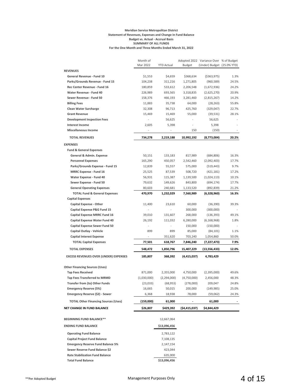#### **Meridian Service Metropolitan District Statement of Revenues, Expenses and Change in Fund Balance Budget vs. Actual - Accrual Basis SUMMARY OF ALL FUNDS For the One Month and Three Months Ended March 31, 2022**

|                                              | Month of    |                   |                | Adopted 2022 Variance Over % of Budget |       |
|----------------------------------------------|-------------|-------------------|----------------|----------------------------------------|-------|
|                                              | Mar 2022    | <b>YTD Actual</b> | <b>Budget</b>  | (Under) Budget (25.0% YTD)             |       |
| <b>REVENUES</b>                              |             |                   |                |                                        |       |
| General Revenue - Fund 10                    | \$1,553     | \$4,659           | \$368,634      | ( \$363, 975)                          | 1.3%  |
| Parks/Grounds Revenue - Fund 15              | 104,238     | 311,216           | 1,271,805      | (960, 589)                             | 24.5% |
| Rec Center Revenue - Fund 16                 | 180,859     | 533,612           | 2,206,548      | (1,672,936)                            | 24.2% |
| <b>Water Revenue - Fund 40</b>               | 226,989     | 693,565           | 3,318,835      | (2,625,270)                            | 20.9% |
| Sewer Revenue - Fund 50                      | 158,376     | 466,193           | 3,281,460      | (2,815,267)                            | 14.2% |
| <b>Billing Fees</b>                          | 11,883      | 35,738            | 64,000         | (28, 263)                              | 55.8% |
| <b>Clean Water Surcharge</b>                 | 32,308      | 96,713            | 425,760        | (329, 047)                             | 22.7% |
| <b>Grant Revenue</b>                         | 15,469      | 15,469            | 55,000         | (39, 531)                              | 28.1% |
| <b>Development Inspection Fees</b>           |             | 56,625            | $\overline{a}$ | 56,625                                 |       |
| <b>Interest Income</b>                       | 2,605       | 5,398             |                | 5,398                                  |       |
| <b>Miscellaneous Income</b>                  |             |                   | 150            | (150)                                  |       |
| <b>TOTAL REVENUES</b>                        | 734,278     | 2,219,188         | 10,992,192     | (8,773,004)                            | 20.2% |
| <b>EXPENSES</b>                              |             |                   |                |                                        |       |
| <b>Fund &amp; General Expenses</b>           |             |                   |                |                                        |       |
| General & Admin. Expense                     | 50,151      | 133,183           | 817,989        | (684, 806)                             | 16.3% |
| <b>Personnel Expenses</b>                    | 165,290     | 450,057           | 2,542,460      | (2,092,403)                            | 17.7% |
| Parks/Grounds Expense - Fund 15              | 12,839      | 55,557            | 575,000        | (519, 443)                             | 9.7%  |
| <b>MRRC Expense - Fund 16</b>                | 25,525      | 87,539            | 508,720        | (421, 181)                             | 17.2% |
| Water Expense - Fund 40                      | 56,931      | 115,387           | 1,139,500      | (1,024,113)                            | 10.1% |
| Sewer Expense - Fund 50                      | 79,632      | 149,626           | 843,800        | (694, 174)                             | 17.7% |
| <b>General Operating Expenses</b>            | 80,603      | 240,681           | 1,133,520      | (892, 839)                             | 21.2% |
| <b>TOTAL Fund &amp; General Expenses</b>     | 470,970     | 1,232,029         | 7,560,989      | (6,328,960)                            | 16.3% |
| <b>Capital Expenses</b>                      |             |                   |                |                                        |       |
| <b>Capital Expense - Other</b>               | 11,400      | 23,610            | 60,000         | (36, 390)                              | 39.3% |
| Capital Expense P&G Fund 15                  |             | $\overline{a}$    | 300,000        | (300,000)                              |       |
| <b>Capital Expense MRRC Fund 16</b>          | 39,010      | 131,607           | 268,000        | (136, 393)                             | 49.1% |
| <b>Capital Expense Water Fund 40</b>         | 26,192      | 111,032           | 6,280,000      | (6, 168, 968)                          | 1.8%  |
| <b>Capital Expense Sewer Fund 50</b>         |             |                   | 150,000        | (150,000)                              |       |
| Capital Outlay - Vehicle                     | 899         | 899               | 85,000         | (84, 101)                              | 1.1%  |
| <b>Capital Interest Expense</b>              |             | 351,620           | 703,240        | 1,054,860                              | 50.0% |
| <b>TOTAL Capital Expenses</b>                | 77,501      | 618,767           | 7,846,240      | (7, 227, 473)                          | 7.9%  |
| <b>TOTAL EXPENSES</b>                        | 548,472     | 1,850,796         | 15,407,229     | (13, 556, 433)                         | 12.0% |
| <b>EXCESS REVENUES OVER (UNDER) EXPENSES</b> | 185,807     | 368,392           | (4,415,037)    | 4,783,429                              |       |
|                                              |             |                   |                |                                        |       |
| <b>Other Financing Sources (Uses)</b>        |             |                   |                |                                        |       |
| <b>Tap Fees Received</b>                     | 871,000     | 2,355,000         | 4,750,000      | (2,395,000)                            | 49.6% |
| <b>Tap Fees Transferred to MRMD</b>          | (1,030,000) | (2, 294, 000)     | (4,750,000)    | 2,456,000                              | 48.3% |
| Transfer from (to) Other Funds               | (23, 033)   | (68, 953)         | (278,000)      | 209,047                                | 24.8% |
| <b>Emergency Reserve (5%)</b>                | 16,665      | 50,015            | 200,000        | (149, 985)                             | 25.0% |
| Emergency Reserve (\$2) - Sewer              | 6,368       | 18,938            | 78,000         | (59,062)                               | 24.3% |
| <b>TOTAL Other Financing Sources (Uses)</b>  | (159,000)   | 61,000            |                | 61,000                                 |       |
| NET CHANGE IN FUND BALANCE                   | \$26,807    | \$429,392         | (\$4,415,037)  | \$4,844,429                            |       |
|                                              |             |                   |                |                                        |       |
| <b>BEGINNING FUND BALANCE**</b>              |             | 12,667,064        |                |                                        |       |
| <b>ENDING FUND BALANCE</b>                   |             | \$13,096,456      |                |                                        |       |
| <b>Operating Fund Balance</b>                |             | 2,783,122         |                |                                        |       |
| <b>Capital Project Fund Balance</b>          |             | 7,108,135         |                |                                        |       |
| <b>Emergency Reserve Fund Balance 5%</b>     |             | 2,147,154         |                |                                        |       |
| Sewer Reserve Fund Balance \$2               |             | 423,044           |                |                                        |       |
| <b>Rate Stabilization Fund Balance</b>       |             | 635,000           |                |                                        |       |
| <b>Total Fund Balance</b>                    |             | \$13,096,456      |                |                                        |       |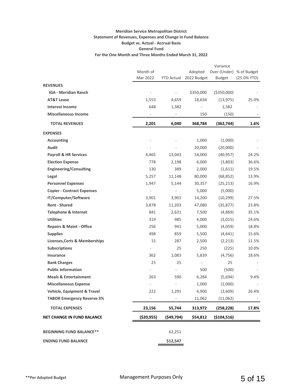#### **Meridian Service Metropolitan District Statement of Revenues, Expenses and Change in Fund Balance Budget vs. Actual - Accrual Basis General Fund For the One Month and Three Months Ended March 31, 2022**

|                                          |                          |           |                        | Variance                 |                |
|------------------------------------------|--------------------------|-----------|------------------------|--------------------------|----------------|
|                                          | Month of                 |           | Adopted                | Over (Under) % of Budget |                |
|                                          | Mar 2022                 |           | YTD Actual 2022 Budget | <b>Budget</b>            | $(25.0\%$ YTD) |
| <b>REVENUES</b>                          |                          |           |                        |                          |                |
| <b>IGA - Meridian Ranch</b>              | $\overline{a}$           |           | \$350,000              | ( \$350,000)             |                |
| <b>AT&amp;T Lease</b>                    | 1,553                    | 4,659     | 18,634                 | (13, 975)                | 25.0%          |
| <b>Interest Income</b>                   | 648                      | 1,382     |                        | 1,382                    |                |
| <b>Miscellaneous Income</b>              |                          |           | 150                    | (150)                    |                |
| <b>TOTAL REVENUES</b>                    | 2,201                    | 6,040     | 368,784                | (362, 744)               | 1.6%           |
| <b>EXPENSES</b>                          |                          |           |                        |                          |                |
| <b>Accounting</b>                        |                          |           | 1,000                  | (1,000)                  |                |
| Audit                                    | ÷                        |           | 20,000                 | (20,000)                 |                |
| <b>Payroll &amp; HR Services</b>         | 4,465                    | 13,043    | 54,000                 | (40, 957)                | 24.2%          |
| <b>Election Expense</b>                  | 778                      | 2,198     | 6,000                  | (3,803)                  | 36.6%          |
| <b>Engineering/Consulting</b>            | 130                      | 389       | 2,000                  | (1,611)                  | 19.5%          |
| Legal                                    | 5,257                    | 11,148    | 80,000                 | (68, 852)                | 13.9%          |
| <b>Personnel Expenses</b>                | 1,947                    | 5,144     | 30,357                 | (25, 213)                | 16.9%          |
| <b>Copier - Contract Expenses</b>        | $\overline{\phantom{a}}$ |           | 5,000                  | (5,000)                  |                |
| IT/Computer/Software                     | 3,901                    | 3,901     | 14,200                 | (10, 299)                | 27.5%          |
| <b>Rent - Shared</b>                     | 3,878                    | 11,203    | 47,080                 | (35, 877)                | 23.8%          |
| <b>Telephone &amp; Internet</b>          | 841                      | 2,631     | 7,500                  | (4,869)                  | 35.1%          |
| <b>Utilities</b>                         | 319                      | 985       | 4,000                  | (3,015)                  | 24.6%          |
| <b>Repairs &amp; Maint - Office</b>      | 256                      | 941       | 5,000                  | (4,059)                  | 18.8%          |
| <b>Supplies</b>                          | 498                      | 859       | 5,500                  | (4,641)                  | 15.6%          |
| <b>Licenses, Certs &amp; Memberships</b> | 15                       | 287       | 2,500                  | (2,213)                  | 11.5%          |
| <b>Subscriptions</b>                     | $\overline{\phantom{0}}$ | 25        | 250                    | (225)                    | 10.0%          |
| Insurance                                | 362                      | 1,083     | 5,839                  | (4, 756)                 | 18.6%          |
| <b>Bank Charges</b>                      | 25                       | 25        | $\frac{1}{2}$          | 25                       |                |
| <b>Public Information</b>                | $\overline{\phantom{0}}$ | ÷,        | 500                    | (500)                    |                |
| <b>Meals &amp; Entertainment</b>         | 263                      | 590       | 6,284                  | (5,694)                  | 9.4%           |
| <b>Miscellaneous Expense</b>             | ÷                        |           | 1,000                  | (1,000)                  |                |
| <b>Vehicle, Equipment &amp; Travel</b>   | 222                      | 1,291     | 4,900                  | (3,609)                  | 26.4%          |
| <b>TABOR Emergency Reserve 3%</b>        |                          |           | 11,062                 | (11,062)                 |                |
| <b>TOTAL EXPENSES</b>                    | 23,156                   | 55,744    | 313,972                | (258, 228)               | 17.8%          |
| <b>NET CHANGE IN FUND BALANCE</b>        | ( \$20, 955)             | (549,704) | \$54,812               | ( \$104, 516)            |                |
| <b>BEGINNING FUND BALANCE**</b>          |                          | 62,251    |                        |                          |                |
| <b>ENDING FUND BALANCE</b>               |                          | \$12,547  |                        |                          |                |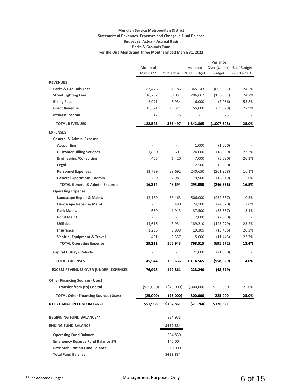#### **Meridian Service Metropolitan District Statement of Revenues, Expenses and Change in Fund Balance Budget vs. Actual - Accrual Basis Parks & Grounds Fund For the One Month and Three Months Ended March 31, 2022**

|                                              |            |                          |                          | Variance      |               |
|----------------------------------------------|------------|--------------------------|--------------------------|---------------|---------------|
|                                              | Month of   |                          | Adopted                  | Over (Under)  | % of Budget   |
|                                              | Mar 2022   |                          | YTD Actual 2022 Budget   | <b>Budget</b> | $(25.0%$ YTD) |
| <b>REVENUES</b>                              |            |                          |                          |               |               |
| <b>Parks &amp; Grounds Fees</b>              | 87,476     | 261,186                  | 1,065,143                | (803, 957)    | 24.5%         |
| <b>Street Lighting Fees</b>                  | 16,762     | 50,031                   | 206,662                  | (156, 631)    | 24.2%         |
| <b>Billing Fees</b>                          | 2,971      | 8,934                    | 16,000                   | (7,066)       | 55.8%         |
| <b>Grant Revenue</b>                         | 15,321     | 15,321                   | 55,000                   | (39, 679)     | 27.9%         |
| <b>Interest Income</b>                       | 12         | 25                       | $\overline{\phantom{a}}$ | 25            | $\sim$ $-$    |
| <b>TOTAL REVENUES</b>                        | 122,542    | 335,497                  | 1,342,805                | (1,007,308)   | 25.0%         |
| <b>EXPENSES</b>                              |            |                          |                          |               |               |
| <b>General &amp; Admin. Expense</b>          |            |                          |                          |               |               |
| <b>Accounting</b>                            |            |                          | 1,000                    | (1,000)       |               |
| <b>Customer Billing Services</b>             | 1,890      | 5,601                    | 24,000                   | (18, 399)     | 23.3%         |
| <b>Engineering/Consulting</b>                | 465        | 1,420                    | 7,000                    | (5,580)       | 20.3%         |
| Legal                                        |            | $\overline{\phantom{a}}$ | 2,500                    | (2,500)       |               |
| <b>Personnel Expenses</b>                    | 13,729     | 38,692                   | 240,650                  | (201, 958)    | 16.1%         |
| <b>General Operations - Admin</b>            | 230        | 2,981                    | 19,900                   | (16, 919)     | 15.0%         |
| <b>TOTAL General &amp; Admin. Expense</b>    | 16,314     | 48,694                   | 295,050                  | (246, 356)    | 16.5%         |
| <b>Operating Expense</b>                     |            |                          |                          |               |               |
| Landscape Repair & Maint.                    | 12,189     | 53,163                   | 506,000                  | (452, 837)    | 10.5%         |
| Hardscape Repair & Maint.                    |            | 480                      | 24,500                   | (24,020)      | 2.0%          |
| Park Maint.                                  | 650        | 1,913                    | 37,500                   | (35, 587)     | 5.1%          |
| Pond Maint.                                  |            | $\overline{\phantom{a}}$ | 7,000                    | (7,000)       |               |
| <b>Utilities</b>                             | 14,616     | 43,931                   | 189,210                  | (145, 279)    | 23.2%         |
| Insurance                                    | 1,295      | 3,899                    | 19,305                   | (15, 406)     | 20.2%         |
| Vehicle, Equipment & Travel                  | 481        | 3,557                    | 15,000                   | (11, 443)     | 23.7%         |
| <b>TOTAL Operating Expense</b>               | 29,231     | 106,943                  | 798,515                  | (691, 572)    | 13.4%         |
| Capital Outlay - Vehicle                     |            | $\overline{\phantom{a}}$ | 21,000                   | (21,000)      |               |
| <b>TOTAL EXPENSES</b>                        | 45,544     | 155,636                  | 1,114,565                | (958,929)     | 14.0%         |
| <b>EXCESS REVENUES OVER (UNDER) EXPENSES</b> | 76,998     | 179,861                  | 228,240                  | (48, 379)     |               |
| <b>Other Financing Sources (Uses)</b>        |            |                          |                          |               |               |
| <b>Transfer from (to) Capital</b>            | (\$25,000) | (\$75,000)               | ( \$300,000)             | \$225,000     | 25.0%         |
| <b>TOTAL Other Financing Sources (Uses)</b>  | (25,000)   | (75,000)                 | (300,000)                | 225,000       | 25.0%         |
| <b>NET CHANGE IN FUND BALANCE</b>            | \$51,998   | \$104,861                | (571,760)                | \$176,621     |               |
|                                              |            |                          |                          |               |               |
| <b>BEGINNING FUND BALANCE**</b>              |            | 334,973                  |                          |               |               |
| <b>ENDING FUND BALANCE</b>                   |            | \$439,834                |                          |               |               |
| <b>Operating Fund Balance</b>                |            | 284,830                  |                          |               |               |
| <b>Emergency Reserve Fund Balance 5%</b>     |            | 145,004                  |                          |               |               |
| <b>Rate Stabilization Fund Balance</b>       |            | 10,000                   |                          |               |               |
| <b>Total Fund Balance</b>                    |            | \$439,834                |                          |               |               |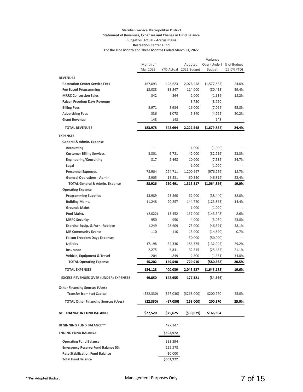#### **Meridian Service Metropolitan District Statement of Revenues, Expenses and Change in Fund Balance Budget vs. Actual - Accrual Basis Recreation Center Fund For the One Month and Three Months Ended March 31, 2022**

|                                              |            |           |                        | Variance      |               |
|----------------------------------------------|------------|-----------|------------------------|---------------|---------------|
|                                              | Month of   |           | Adopted                | Over (Under)  | % of Budget   |
|                                              | Mar 2022   |           | YTD Actual 2022 Budget | Budget        | $(25.0%$ YTD) |
| <b>REVENUES</b>                              |            |           |                        |               |               |
| <b>Recreation Center Service Fees</b>        | 167,093    | 498,623   | 2,076,458              | (1, 577, 835) | 24.0%         |
| <b>Fee Based Programming</b>                 | 13,088     | 33,547    | 114,000                | (80, 453)     | 29.4%         |
| <b>MRRC Concession Sales</b>                 | 342        | 364       | 2,000                  | (1,636)       | 18.2%         |
| <b>Falcon Freedom Days Revenue</b>           |            |           | 8,750                  | (8, 750)      |               |
| <b>Billing Fees</b>                          | 2,971      | 8,934     | 16,000                 | (7,066)       | 55.8%         |
| <b>Advertising Fees</b>                      | 336        | 1,078     | 5,340                  | (4,262)       | 20.2%         |
| <b>Grant Revenue</b>                         | 148        | 148       |                        | 148           |               |
| <b>TOTAL REVENUES</b>                        | 183,978    | 542,694   | 2,222,548              | (1,679,854)   | 24.4%         |
| <b>EXPENSES</b>                              |            |           |                        |               |               |
| General & Admin. Expense                     |            |           |                        |               |               |
| <b>Accounting</b>                            |            |           | 1,000                  | (1,000)       |               |
| <b>Customer Billing Services</b>             | 3,301      | 9,781     | 42,000                 | (32, 219)     | 23.3%         |
| <b>Engineering/Consulting</b>                | 817        | 2,468     | 10,000                 | (7, 532)      | 24.7%         |
| Legal                                        |            |           | 1,000                  | (1,000)       |               |
| <b>Personnel Expenses</b>                    | 78,904     | 224,711   | 1,200,967              | (976, 256)    | 18.7%         |
| <b>General Operations - Admin</b>            | 5,905      | 13,531    | 60,350                 | (46, 819)     | 22.4%         |
| <b>TOTAL General &amp; Admin. Expense</b>    | 88,926     | 250,491   | 1,315,317              | (1,064,826)   | 19.0%         |
| <b>Operating Expense</b>                     |            |           |                        |               |               |
| <b>Programming Supplies</b>                  | 13,989     | 23,560    | 62,000                 | (38, 440)     | 38.0%         |
| <b>Building Maint.</b>                       | 11,248     | 20,857    | 144,720                | (123, 863)    | 14.4%         |
| <b>Grounds Maint.</b>                        |            |           | 1,000                  | (1,000)       |               |
| Pool Maint.                                  | (2,022)    | 13,452    | 157,000                | (143, 548)    | 8.6%          |
| <b>MRRC Security</b>                         | 950        | 950       | 4,000                  | (3,050)       | 23.8%         |
| Exercise Equip. & Furn.-Replace              | 1,249      | 28,609    | 75,000                 | (46, 391)     | 38.1%         |
| <b>MR Community Events</b>                   | 110        | 110       | 15,000                 | (14, 890)     | 0.7%          |
| <b>Falcon Freedom Days Expenses</b>          |            |           | 50,000                 | (50,000)      |               |
| <b>Utilities</b>                             | 17,198     | 54,330    | 186,375                | (132, 045)    | 29.2%         |
| Insurance                                    | 2,275      | 6,831     | 32,315                 | (25, 484)     | 21.1%         |
| Vehicle, Equipment & Travel                  | 204        | 849       | 2,500                  | (1,651)       | 34.0%         |
| <b>TOTAL Operating Expense</b>               | 45,202     | 149,548   | 729,910                | (580, 362)    | 20.5%         |
| <b>TOTAL EXPENSES</b>                        | 134,128    | 400,039   | 2,045,227              | (1,645,188)   | 19.6%         |
| <b>EXCESS REVENUES OVER (UNDER) EXPENSES</b> | 49,850     | 142,655   | 177,321                | (34, 666)     |               |
| <b>Other Financing Sources (Uses)</b>        |            |           |                        |               |               |
| <b>Transfer from (to) Capital</b>            | (522, 330) | (567,030) | ( \$268,000)           | \$200,970     | 25.0%         |
|                                              |            |           |                        |               |               |
| <b>TOTAL Other Financing Sources (Uses)</b>  | (22, 330)  | (67,030)  | (268,000)              | 200,970       | 25.0%         |
| <b>NET CHANGE IN FUND BALANCE</b>            | \$27,520   | \$75,625  | (\$90,679)             | \$166,304     |               |
| <b>BEGINNING FUND BALANCE**</b>              |            | 427,347   |                        |               |               |
| <b>ENDING FUND BALANCE</b>                   |            | \$502,972 |                        |               |               |
| <b>Operating Fund Balance</b>                |            | 333,394   |                        |               |               |
| <b>Emergency Reserve Fund Balance 5%</b>     |            | 159,578   |                        |               |               |
| <b>Rate Stabilization Fund Balance</b>       |            | 10,000    |                        |               |               |
| <b>Total Fund Balance</b>                    |            | \$502,972 |                        |               |               |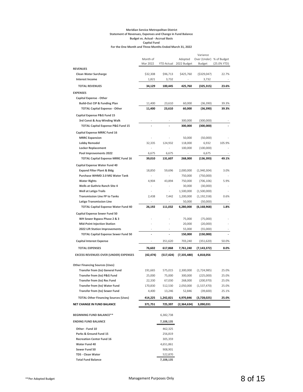#### **Meridian Service Metropolitan District Statement of Revenues, Expenses and Change in Fund Balance Budget vs. Actual - Accrual Basis Capital Fund For the One Month and Three Months Ended March 31, 2022**

|                                              |                          |                          |                        | Variance                           |                |
|----------------------------------------------|--------------------------|--------------------------|------------------------|------------------------------------|----------------|
|                                              | Month of<br>Mar 2022     | YTD Actual               | Adopted<br>2022 Budget | Over (Under) % of Budget<br>Budget | (25.0% YTD)    |
| <b>REVENUES</b>                              |                          |                          |                        |                                    |                |
| <b>Clean Water Surcharge</b>                 | \$32,308                 | \$96,713                 | \$425,760              | ( \$329,047)                       | 22.7%          |
| <b>Interest Income</b>                       | 1,821                    | 3,732                    |                        | 3,732                              |                |
| <b>TOTAL REVENUES</b>                        | 34,129                   | 100,445                  | 425,760                | (325, 315)                         | 23.6%          |
|                                              |                          |                          |                        |                                    |                |
| <b>EXPENSES</b>                              |                          |                          |                        |                                    |                |
| <b>Capital Expense - Other</b>               |                          |                          |                        |                                    |                |
| <b>Build-Out CIP &amp; Funding Plan</b>      | 11,400<br>11,400         | 23,610                   | 60,000                 | (36, 390)                          | 39.3%<br>39.3% |
| <b>TOTAL Capital Expense - Other</b>         |                          | 23,610                   | 60,000                 | (36, 390)                          |                |
| Capital Expense P&G Fund 15                  |                          |                          |                        |                                    |                |
| 3rd Const & Acq-Winding Walk                 | $\overline{\phantom{m}}$ | $\overline{\phantom{a}}$ | 300,000                | (300,000)                          |                |
| <b>TOTAL Capital Expense P&amp;G Fund 15</b> |                          |                          | 300,000                | (300,000)                          |                |
| Capital Expense MRRC Fund 16                 |                          |                          |                        |                                    |                |
| <b>MRRC</b> Expansion                        |                          |                          | 50,000                 | (50,000)                           |                |
| <b>Lobby Remodel</b>                         | 32,335                   | 124,932                  | 118,000                | 6,932                              | 105.9%         |
| <b>Locker Replacement</b>                    |                          |                          | 100,000                | (100,000)                          |                |
| Pool Improvements 2022                       | 6,675                    | 6,675                    |                        | 6,675                              |                |
| <b>TOTAL Capital Expense MRRC Fund 16</b>    | 39,010                   | 131,607                  | 268,000                | (136, 393)                         | 49.1%          |
| Capital Expense Water Fund 40                |                          |                          |                        |                                    |                |
| <b>Expand Filter Plant &amp; Bldg</b>        | 18,850                   | 59,696                   | 2,000,000              | (1,940,304)                        | 3.0%           |
| Purchase WHMD 2.0 MG Water Tank              | ÷                        |                          | 750,000                | (750,000)                          |                |
| <b>Water Rights</b>                          | 4,904                    | 43,894                   | 750,000                | (706, 106)                         | 5.9%           |
| <b>Wells at Guthrie Ranch Site 4</b>         | ÷,                       | $\blacksquare$           | 30,000                 | (30,000)                           |                |
| <b>Well at Latigo Trails</b>                 | ÷                        | $\blacksquare$           | 1,500,000              | (1,500,000)                        |                |
| <b>Transmission Line FP to Tanks</b>         | 2,438                    | 7,442                    | 1,200,000              | (1, 192, 558)                      | 0.6%           |
| <b>Latigo Transmission Line</b>              |                          |                          | 50,000                 | (50,000)                           |                |
| <b>TOTAL Capital Expense Water Fund 40</b>   | 26,192                   | 111,032                  | 6,280,000              | (6,168,968)                        | 1.8%           |
| <b>Capital Expense Sewer Fund 50</b>         |                          |                          |                        |                                    |                |
| WH Sewer Bypass Phase 2 & 3                  |                          |                          | 75,000                 | (75,000)                           |                |
| <b>Mid-Point Injection Station</b>           |                          |                          | 20,000                 | (20,000)                           |                |
| 2022 Lift Station Improvements               |                          |                          | 55,000                 | (55,000)                           |                |
| <b>TOTAL Capital Expense Sewer Fund 50</b>   |                          |                          | 150,000                | (150,000)                          |                |
|                                              |                          |                          |                        |                                    |                |
| <b>Capital Interest Expense</b>              |                          | 351,620                  | 703,240                | (351, 620)                         | 50.0%          |
| <b>TOTAL EXPENSES</b>                        | 76,602                   | 617,868                  | 7,761,240              | (7, 143, 372)                      | 8.0%           |
| <b>EXCESS REVENUES OVER (UNDER) EXPENSES</b> | (42, 474)                | (517, 424)               | (7,335,480)            | 6,818,056                          |                |
|                                              |                          |                          |                        |                                    |                |
| <b>Other Financing Sources (Uses)</b>        |                          |                          |                        |                                    |                |
| <b>Transfer from (to) General Fund</b>       | 191,665                  | 575,015                  | 2,300,000              | (1,724,985)                        | 25.0%          |
| Transfer from (to) P&G Fund                  | 25,000                   | 75,000                   | 300,000                | (225,000)                          | 25.0%          |
| Transfer from (to) Rec Fund                  | 22,330                   | 67,030                   | 268,000                | (200, 970)                         | 25.0%          |
| Transfer from (to) Water Fund                | 170,830                  | 512,530                  | 2,050,000              | (1,537,470)                        | 25.0%          |
| Transfer from (to) Sewer Fund                | 4,400                    | 13,246                   | 52,846                 | (39,600)                           | 25.1%          |
| <b>TOTAL Other Financing Sources (Uses)</b>  | 414,225                  | 1,242,821                | 4,970,846              | (3,728,025)                        | 25.0%          |
| NET CHANGE IN FUND BALANCE                   | 371,751                  | 725,397                  | (2,364,634)            | 3,090,031                          |                |
|                                              |                          |                          |                        |                                    |                |
| BEGINNING FUND BALANCE**                     |                          | 6,382,738                |                        |                                    |                |
| <b>ENDING FUND BALANCE</b>                   |                          | 7,108,135                |                        |                                    |                |
| Other - Fund 10                              |                          | 462,325                  |                        |                                    |                |
| Parks & Ground Fund 15                       |                          | 256,819                  |                        |                                    |                |
| <b>Recreation Center Fund 16</b>             |                          | 305,359                  |                        |                                    |                |
| Water Fund 40                                |                          | 4,651,861                |                        |                                    |                |
| Sewer Fund 50                                |                          | 908,901                  |                        |                                    |                |
| <b>TDS - Clean Water</b>                     |                          | 522,870                  |                        |                                    |                |
| <b>Total Fund Balance</b>                    |                          | 7,108,135                |                        |                                    |                |
|                                              |                          |                          |                        |                                    |                |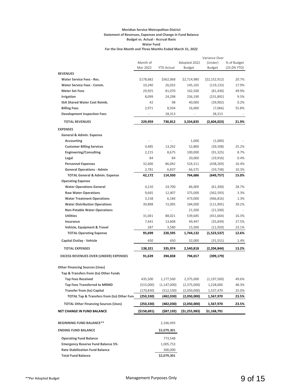#### **Meridian Service Metropolitan District Statement of Revenues, Expenses and Change in Fund Balance Budget vs. Actual - Accrual Basis Water Fund For the One Month and Three Months Ended March 31, 2022**

|                                                      |              |                   |               | Variance Over  |               |
|------------------------------------------------------|--------------|-------------------|---------------|----------------|---------------|
|                                                      | Month of     |                   | Adopted 2022  | (Under)        | % of Budget   |
|                                                      | Mar 2022     | <b>YTD Actual</b> | <b>Budget</b> | <b>Budget</b>  | $(25.0%$ YTD) |
| <b>REVENUES</b>                                      |              |                   |               |                |               |
| <b>Water Service Fees - Res.</b>                     | \$178,682    | \$562,068         | \$2,714,980   | ( \$2,152,912) | 20.7%         |
| <b>Water Service Fees - Comm.</b>                    | 10,240       | 26,032            | 145,165       | (119, 133)     | 17.9%         |
| <b>Meter Set Fees</b>                                | 29,925       | 81,070            | 162,500       | (81, 430)      | 49.9%         |
| <b>Irrigation</b>                                    | 8,099        | 24,298            | 256,190       | (231,892)      | 9.5%          |
| IGA Shared Water Cost Reimb.                         | 42           | 98                | 40,000        | (39,902)       | 0.2%          |
| <b>Billing Fees</b>                                  | 2,971        | 8,934             | 16,000        | (7,066)        | 55.8%         |
| <b>Development Inspection Fees</b>                   |              | 28,313            |               | 28,313         |               |
| <b>TOTAL REVENUES</b>                                | 229,959      | 730,812           | 3,334,835     | (2,604,023)    | 21.9%         |
| <b>EXPENSES</b>                                      |              |                   |               |                |               |
| General & Admin. Expense                             |              |                   |               |                |               |
| Accounting                                           |              |                   | 1,000         | (1,000)        |               |
| <b>Customer Billing Services</b>                     | 4,485        | 13,292            | 52,800        | (39, 508)      | 25.2%         |
| <b>Engineering/Consulting</b>                        | 2,215        | 8.675             | 100,000       | (91, 325)      | 8.7%          |
| Legal                                                | 84           | 84                | 20,000        | (19, 916)      | 0.4%          |
| <b>Personnel Expenses</b>                            | 32,606       | 86,042            | 524,311       | (438, 269)     | 16.4%         |
| <b>General Operations - Admin</b>                    | 2,781        | 6,837             | 66,575        | (59, 738)      | 10.3%         |
| <b>TOTAL General &amp; Admin. Expense</b>            | 42,172       | 114,930           | 764,686       | (649, 757)     | 15.0%         |
| <b>Operating Expense</b>                             |              |                   |               |                |               |
| <b>Water Operations General</b>                      | 4,210        | 24,700            | 86,000        | (61, 300)      | 28.7%         |
| <b>Raw Water Operations</b>                          | 9,665        | 12,407            | 375,000       | (362, 593)     | 3.3%          |
| <b>Water Treatment Operations</b>                    | 3,158        | 6,184             | 473,000       | (466, 816)     | 1.3%          |
| <b>Water Distribution Operations</b>                 | 39,898       | 72,095            | 184,000       | (111, 905)     | 39.2%         |
| <b>Non-Potable Water Operations</b>                  | ÷            | ÷,                | 21,500        | (21,500)       |               |
| <b>Utilities</b>                                     | 31,041       | 88,021            | 539,685       | (451, 664)     | 16.3%         |
| Insurance                                            | 7,441        | 13,608            | 49,447        | (35, 839)      | 27.5%         |
| Vehicle, Equipment & Travel                          | 287          | 3,580             | 15,500        | (11,920)       | 23.1%         |
| <b>TOTAL Operating Expense</b>                       | 95,699       | 220,595           | 1,744,132     | (1,523,537)    | 12.6%         |
| <b>Capital Outlay - Vehicle</b>                      | 450          | 450               | 32,000        | (31, 551)      | 1.4%          |
| <b>TOTAL EXPENSES</b>                                | 138,321      | 335,974           | 2,540,818     | (2,204,844)    | 13.2%         |
| <b>EXCESS REVENUES OVER (UNDER) EXPENSES</b>         |              | 394,838           |               |                |               |
|                                                      | 91,639       |                   | 794,017       | (399, 179)     |               |
| <b>Other Financing Sources (Uses)</b>                |              |                   |               |                |               |
| Tap & Transfers from (to) Other Funds                |              |                   |               |                |               |
| Tap Fees Received                                    | 435,500      | 1,177,500         | 2,375,000     | (1, 197, 500)  | 49.6%         |
| <b>Tap Fees Transferred to MRMD</b>                  | (515,000)    | (1, 147, 000)     | (2,375,000)   | 1,228,000      | 48.3%         |
| <b>Transfer from (to) Capital</b>                    | (170, 830)   | (512, 530)        | (2,050,000)   | 1,537,470      | 25.0%         |
| <b>TOTAL Tap &amp; Transfers from (to) Other Fun</b> | (250, 330)   | (482,030)         | (2,050,000)   | 1,567,970      | 23.5%         |
| <b>TOTAL Other Financing Sources (Uses)</b>          | (250, 330)   | (482,030)         | (2,050,000)   | 1,567,970      | 23.5%         |
| NET CHANGE IN FUND BALANCE                           | ( \$158,691) | (\$87,192)        | (\$1,255,983) | \$1,168,791    |               |
|                                                      |              |                   |               |                |               |
| <b>BEGINNING FUND BALANCE**</b>                      |              | 2,166,493         |               |                |               |
| <b>ENDING FUND BALANCE</b>                           |              | \$2,079,301       |               |                |               |
| <b>Operating Fund Balance</b>                        |              | 773,548           |               |                |               |
| <b>Emergency Reserve Fund Balance 5%</b>             |              | 1,005,753         |               |                |               |
| <b>Rate Stabilization Fund Balance</b>               |              | 300,000           |               |                |               |
| <b>Total Fund Balance</b>                            |              | \$2,079,301       |               |                |               |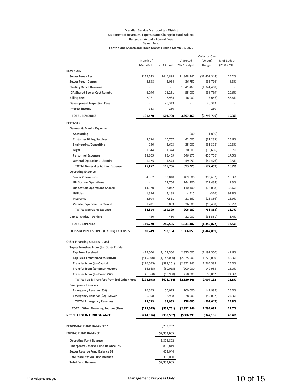#### **Meridian Service Metropolitan District Statement of Revenues, Expenses and Change in Fund Balance Budget vs. Actual - Accrual Basis Sewer Fund For the One Month and Three Months Ended March 31, 2022**

|                                                       | Month of    |                   | Adopted     | Variance Over<br>(Under) | % of Budget |
|-------------------------------------------------------|-------------|-------------------|-------------|--------------------------|-------------|
|                                                       | Mar 2022    | <b>YTD Actual</b> | 2022 Budget | <b>Budget</b>            | (25.0% YTD) |
| <b>REVENUES</b>                                       |             |                   |             |                          |             |
| Sewer Fees - Res.                                     | \$149,743   | \$446,898         | \$1,848,242 | (51, 401, 344)           | 24.2%       |
| Sewer Fees - Comm.                                    | 2,538       | 3,034             | 36,750      | (33, 716)                | 8.3%        |
| <b>Sterling Ranch Revenue</b>                         | $\sim$      | $\frac{1}{2}$     | 1,341,468   | (1,341,468)              |             |
| IGA Shared Sewer Cost Reimb.                          | 6,096       | 16,261            | 55,000      | (38, 739)                | 29.6%       |
| <b>Billing Fees</b>                                   | 2,971       | 8,934             | 16,000      | (7,066)                  | 55.8%       |
| <b>Development Inspection Fees</b>                    |             | 28,313            |             | 28,313                   |             |
| <b>Interest Income</b>                                | 123         | 260               |             | 260                      |             |
| <b>TOTAL REVENUES</b>                                 | 161,470     | 503,700           | 3,297,460   | (2,793,760)              | 15.3%       |
| <b>EXPENSES</b>                                       |             |                   |             |                          |             |
| General & Admin. Expense                              |             |                   |             |                          |             |
| Accounting                                            |             |                   | 1,000       | (1,000)                  |             |
| <b>Customer Billing Services</b>                      | 3,634       | 10,767            | 42,000      | (31, 233)                | 25.6%       |
| <b>Engineering/Consulting</b>                         | 950         | 3,603             | 35,000      | (31, 398)                | 10.3%       |
| Legal                                                 | 1,344       | 1,344             | 20,000      | (18, 656)                | 6.7%        |
| <b>Personnel Expenses</b>                             | 38,105      | 95,469            | 546,175     | (450, 706)               | 17.5%       |
| <b>General Operations - Admin</b>                     | 1,425       | 4,574             | 49,050      | (44, 476)                | 9.3%        |
| <b>TOTAL General &amp; Admin. Expense</b>             | 45,457      | 115,756           | 693,225     | (577,469)                | 16.7%       |
| <b>Operating Expense</b>                              |             |                   |             |                          |             |
| <b>Sewer Operations</b>                               | 64,962      | 89,818            | 489,500     | (399, 682)               | 18.3%       |
| <b>Lift Station Operations</b>                        | ÷           | 22,766            | 244,200     | (221, 434)               | 9.3%        |
| <b>Lift Station Operations-Shared</b>                 | 14,670      | 37,042            | 110,100     | (73,058)                 | 33.6%       |
| <b>Utilities</b>                                      | 1,396       | 4,189             | 4,515       | (326)                    | 92.8%       |
| Insurance                                             | 2,504       | 7,511             | 31,367      | (23, 856)                | 23.9%       |
| Vehicle, Equipment & Travel                           | 1,281       | 8,003             | 26,500      | (18, 498)                | 30.2%       |
| <b>TOTAL Operating Expense</b>                        | 84,814      | 169,329           | 906,182     | (736,853)                | 18.7%       |
| Capital Outlay - Vehicle                              | 450         | 450               | 32,000      | (31, 551)                | 1.4%        |
| <b>TOTAL EXPENSES</b>                                 | 130,720     | 285,535           | 1,631,407   | (1, 345, 872)            | 17.5%       |
| <b>EXCESS REVENUES OVER (UNDER) EXPENSES</b>          | 30,749      | 218,164           | 1,666,053   | (1,447,889)              |             |
| <b>Other Financing Sources (Uses)</b>                 |             |                   |             |                          |             |
| Tap & Transfers from (to) Other Funds                 |             |                   |             |                          |             |
| <b>Tap Fees Received</b>                              | 435,500     | 1,177,500         | 2,375,000   | (1, 197, 500)            | 49.6%       |
| <b>Tap Fees Transferred to MRMD</b>                   | (515,000)   | (1, 147, 000)     | (2,375,000) | 1,228,000                | 48.3%       |
| <b>Transfer from (to) Capital</b>                     | (196, 065)  | (588, 261)        | (2,352,846) | 1,764,585                | 25.0%       |
| <b>Transfer from (to) Emer Reserve</b>                | (16, 665)   | (50, 015)         | (200,000)   | 149,985                  | 25.0%       |
| Transfer from (to) Emer. (\$2)                        | (6, 368)    | (18,938)          | (78,000)    | 59,062                   | 24.3%       |
| <b>TOTAL Tap &amp; Transfers from (to) Other Fund</b> | (298,598)   | (626,714)         | (2,630,846) | 2,004,132                | 23.8%       |
| <b>Emergency Reserves</b>                             |             |                   |             |                          |             |
| <b>Emergency Reserve (5%)</b>                         | 16,665      | 50,015            | 200,000     | (149, 985)               | 25.0%       |
| Emergency Reserve (\$2) - Sewer                       | 6,368       | 18,938            | 78,000      | (59,062)                 | 24.3%       |
| <b>TOTAL Emergency Reserves</b>                       | 23,033      | 68,953            | 278,000     | (209,047)                | 24.8%       |
| <b>TOTAL Other Financing Sources (Uses)</b>           | (275, 565)  | (557,761)         | (2,352,846) | 1,795,085                | 23.7%       |
| <b>NET CHANGE IN FUND BALANCE</b>                     | (\$244,816) | (\$339,597)       | (\$686,793) | \$347,196                | 49.4%       |
|                                                       |             |                   |             |                          |             |
| <b>BEGINNING FUND BALANCE**</b>                       |             | 3,293,262         |             |                          |             |
| <b>ENDING FUND BALANCE</b>                            |             | \$2,953,665       |             |                          |             |
| <b>Operating Fund Balance</b>                         |             | 1,378,802         |             |                          |             |
| <b>Emergency Reserve Fund Balance 5%</b>              |             | 836,819           |             |                          |             |
| Sewer Reserve Fund Balance \$2                        |             | 423,044           |             |                          |             |
| <b>Rate Stabilization Fund Balance</b>                |             | 315,000           |             |                          |             |
| <b>Total Fund Balance</b>                             |             | \$2,953,665       |             |                          |             |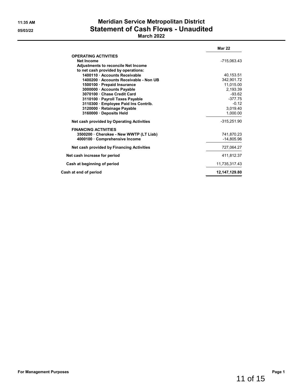# **11:35 AM Meridian Service Metropolitan District 05/03/22 Statement of Cash Flows - Unaudited**

## **March 2022**

|                                            | <b>Mar 22</b> |
|--------------------------------------------|---------------|
| <b>OPERATING ACTIVITIES</b>                |               |
| <b>Net Income</b>                          | -715,063.43   |
| <b>Adjustments to reconcile Net Income</b> |               |
| to net cash provided by operations:        |               |
| 1400110 Accounts Receivable                | 40,153.51     |
| 1400200 Accounts Receivable - Non UB       | 342,901.72    |
| 1500100 Prepaid Insurance                  | 11,015.00     |
| 3000000 · Accounts Payable                 | 2,193.39      |
| 3070100 Chase Credit Card                  | $-93.62$      |
| 3110100 · Payroll Taxes Payable            | $-377.75$     |
| 3110300 Employee Paid Ins Contrib.         | $-0.12$       |
| 3120000 · Retainage Payable                | 3,019.40      |
| 3160000 Deposits Held                      | 1,000.00      |
| Net cash provided by Operating Activities  | $-315,251.90$ |
| <b>FINANCING ACTIVITIES</b>                |               |
| 3500200 Cherokee - New WWTP (LT Liab)      | 741.870.23    |
| 4000100 Comprehensive Income               | $-14,805.96$  |
| Net cash provided by Financing Activities  | 727,064.27    |
| Net cash increase for period               | 411.812.37    |
| Cash at beginning of period                | 11,735,317.43 |
| Cash at end of period                      | 12,147,129.80 |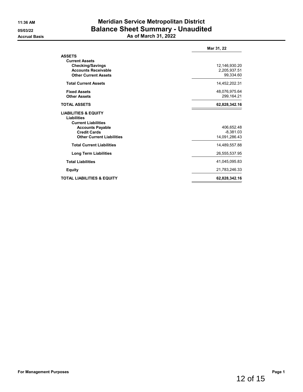# **11:36 AM Meridian Service Metropolitan District 05/03/22 Balance Sheet Summary - Unaudited Accrual Basis As of March 31, 2022**

|                                                                                     | Mar 31, 22    |
|-------------------------------------------------------------------------------------|---------------|
| <b>ASSETS</b><br><b>Current Assets</b>                                              |               |
| <b>Checking/Savings</b>                                                             | 12,146,930.20 |
| <b>Accounts Receivable</b>                                                          | 2,205,937.51  |
| <b>Other Current Assets</b>                                                         | 99,334.60     |
| <b>Total Current Assets</b>                                                         | 14,452,202.31 |
| <b>Fixed Assets</b>                                                                 | 48,076,975.64 |
| <b>Other Assets</b>                                                                 | 299,164.21    |
| <b>TOTAL ASSETS</b>                                                                 | 62,828,342.16 |
| <b>LIABILITIES &amp; EQUITY</b><br><b>Liabilities</b><br><b>Current Liabilities</b> |               |
| <b>Accounts Payable</b>                                                             | 406,652.48    |
| <b>Credit Cards</b>                                                                 | $-8,381.03$   |
| <b>Other Current Liabilities</b>                                                    | 14,091,286.43 |
| <b>Total Current Liabilities</b>                                                    | 14,489,557.88 |
| <b>Long Term Liabilities</b>                                                        | 26,555,537.95 |
| <b>Total Liabilities</b>                                                            | 41,045,095.83 |
| <b>Equity</b>                                                                       | 21,783,246.33 |
| <b>TOTAL LIABILITIES &amp; EQUITY</b>                                               | 62,828,342.16 |
|                                                                                     |               |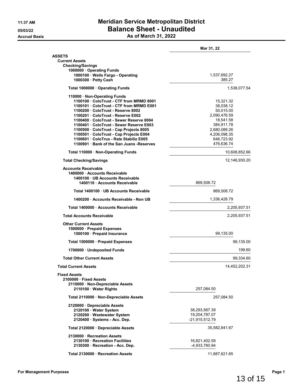## **11:37 AM Meridian Service Metropolitan District 05/03/22 Balance Sheet - Unaudited Accrual Basis As of March 31, 2022**

|                                                                                                                                                                                                                                                                                                                                                                                                                                                                   | Mar 31, 22                                                                                                                                 |
|-------------------------------------------------------------------------------------------------------------------------------------------------------------------------------------------------------------------------------------------------------------------------------------------------------------------------------------------------------------------------------------------------------------------------------------------------------------------|--------------------------------------------------------------------------------------------------------------------------------------------|
| <b>ASSETS</b>                                                                                                                                                                                                                                                                                                                                                                                                                                                     |                                                                                                                                            |
| <b>Current Assets</b><br><b>Checking/Savings</b>                                                                                                                                                                                                                                                                                                                                                                                                                  |                                                                                                                                            |
| 1000000 Operating Funds                                                                                                                                                                                                                                                                                                                                                                                                                                           |                                                                                                                                            |
| 1000100 · Wells Fargo - Operating<br>1000300 · Petty Cash                                                                                                                                                                                                                                                                                                                                                                                                         | 1,537,692.27<br>385.27                                                                                                                     |
|                                                                                                                                                                                                                                                                                                                                                                                                                                                                   |                                                                                                                                            |
| Total 1000000 Operating Funds                                                                                                                                                                                                                                                                                                                                                                                                                                     | 1,538,077.54                                                                                                                               |
| 110000 Non-Operating Funds<br>1100100 · ColoTrust - CTF from MRMD 8001<br>1100101 · ColoTrust - CTF from MRMD E001<br>1100200 · ColoTrust - Reserve 8002<br>1100201 · ColoTrust - Reserve E002<br>1100400 · ColoTrust - Sewer Reserve 8004<br>1100401 · ColoTrust - Sewer Reserve E003<br>1100500 · ColoTrust - Cap Projects 8005<br>1100501 · ColoTrust - Cap Projects E004<br>1100601 ColoTrus - Rate Stabiliz E005<br>1100901 Bank of the San Juans - Reserves | 15,321.32<br>38,038.12<br>50,015.00<br>2.090.476.59<br>18,541.58<br>384,911.78<br>2,680,089.26<br>4,206,098.35<br>648,723.92<br>476,636.74 |
| Total 110000 · Non-Operating Funds                                                                                                                                                                                                                                                                                                                                                                                                                                | 10,608,852.66                                                                                                                              |
| <b>Total Checking/Savings</b>                                                                                                                                                                                                                                                                                                                                                                                                                                     | 12,146,930.20                                                                                                                              |
| <b>Accounts Receivable</b><br>1400000 Accounts Receivable<br>1400100 · UB Accounts Receivable<br>1400110 Accounts Receivable                                                                                                                                                                                                                                                                                                                                      | 869,508.72                                                                                                                                 |
| Total 1400100 · UB Accounts Receivable                                                                                                                                                                                                                                                                                                                                                                                                                            | 869,508.72                                                                                                                                 |
| 1400200 Accounts Receivable - Non UB                                                                                                                                                                                                                                                                                                                                                                                                                              | 1,336,428.79                                                                                                                               |
| Total 1400000 Accounts Receivable                                                                                                                                                                                                                                                                                                                                                                                                                                 | 2,205,937.51                                                                                                                               |
| <b>Total Accounts Receivable</b>                                                                                                                                                                                                                                                                                                                                                                                                                                  | 2,205,937.51                                                                                                                               |
| <b>Other Current Assets</b><br>1500000 · Prepaid Expenses<br>1500100 · Prepaid Insurance                                                                                                                                                                                                                                                                                                                                                                          | 99,135.00                                                                                                                                  |
| Total 1500000 · Prepaid Expenses                                                                                                                                                                                                                                                                                                                                                                                                                                  | 99,135.00                                                                                                                                  |
| 1700000 · Undeposited Funds                                                                                                                                                                                                                                                                                                                                                                                                                                       | 199.60                                                                                                                                     |
| <b>Total Other Current Assets</b>                                                                                                                                                                                                                                                                                                                                                                                                                                 | 99,334.60                                                                                                                                  |
| Total Current Assets                                                                                                                                                                                                                                                                                                                                                                                                                                              | 14,452,202.31                                                                                                                              |
| <b>Fixed Assets</b><br>2100000 Fixed Assets<br>2110000 · Non-Depreciable Assets<br>2110100 · Water Rights                                                                                                                                                                                                                                                                                                                                                         | 257,084.50                                                                                                                                 |
| Total 2110000 · Non-Depreciable Assets                                                                                                                                                                                                                                                                                                                                                                                                                            | 257,084.50                                                                                                                                 |
| 2120000 Depreciable Assets                                                                                                                                                                                                                                                                                                                                                                                                                                        |                                                                                                                                            |
| 2120100 · Water System<br>2120200 Wastewater System<br>2120400 · Systems - Acc. Dep.                                                                                                                                                                                                                                                                                                                                                                              | 38,293,567.39<br>19,204,787.07<br>-21,915,512.79                                                                                           |
| Total 2120000 · Depreciable Assets                                                                                                                                                                                                                                                                                                                                                                                                                                | 35,582,841.67                                                                                                                              |
| 2130000 Recreation Assets<br>2130100 · Recreation Facilities<br>2130300 · Recreation - Acc. Dep.                                                                                                                                                                                                                                                                                                                                                                  | 16,821,402.59<br>-4,933,780.94                                                                                                             |
| Total 2130000 · Recreation Assets                                                                                                                                                                                                                                                                                                                                                                                                                                 | 11,887,621.65                                                                                                                              |

13 of 15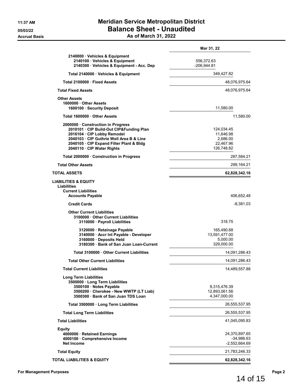|                                                                                                                                                                                                                                   | Mar 31, 22                                                     |
|-----------------------------------------------------------------------------------------------------------------------------------------------------------------------------------------------------------------------------------|----------------------------------------------------------------|
| 2140000 · Vehicles & Equipment<br>2140100 · Vehicles & Equipment<br>2140300 · Vehicles & Equipment - Acc. Dep                                                                                                                     | 556,372.63<br>$-206,944.81$                                    |
| Total 2140000 · Vehicles & Equipment                                                                                                                                                                                              | 349,427.82                                                     |
| Total 2100000 Fixed Assets                                                                                                                                                                                                        | 48,076,975.64                                                  |
| <b>Total Fixed Assets</b>                                                                                                                                                                                                         | 48,076,975.64                                                  |
| <b>Other Assets</b><br>1600000 Other Assets<br>1600100 · Security Deposit                                                                                                                                                         | 11,580.00                                                      |
| Total 1600000 Other Assets                                                                                                                                                                                                        | 11,580.00                                                      |
| 2000000 Construction in Progress<br>2010101 · CIP Build-Out CIP&Funding Plan<br>2016104 · CIP Lobby Remodel<br>2040103 · CIP Guthrie Well Area B & Line<br>2040105 · CIP Expand Filter Plant & Bldg<br>2040110 · CIP Water Rights | 124,034.45<br>11,646.98<br>2,686.00<br>22,467.96<br>126,748.82 |
| Total 2000000 · Construction in Progress                                                                                                                                                                                          | 287,584.21                                                     |
| <b>Total Other Assets</b>                                                                                                                                                                                                         | 299,164.21                                                     |
| TOTAL ASSETS                                                                                                                                                                                                                      | 62,828,342.16                                                  |
| <b>LIABILITIES &amp; EQUITY</b><br>Liabilities<br><b>Current Liabilities</b><br><b>Accounts Payable</b>                                                                                                                           | 406,652.48                                                     |
| <b>Credit Cards</b>                                                                                                                                                                                                               | $-8,381.03$                                                    |
| <b>Other Current Liabilities</b><br>3100000 Other Current Liabilities<br>3110000 · Payroll Liabilities                                                                                                                            | 318.75                                                         |
| 3120000 · Retainage Payable<br>3140000 · Accr Int Payable - Developer<br>3160000 · Deposits Held<br>3180300 · Bank of San Juan Loan-Current                                                                                       | 165,490.68<br>13,591,477.00<br>5,000.00<br>329,000.00          |
| Total 3100000 . Other Current Liabilities                                                                                                                                                                                         | 14,091,286.43                                                  |
| <b>Total Other Current Liabilities</b>                                                                                                                                                                                            | 14,091,286.43                                                  |
| <b>Total Current Liabilities</b>                                                                                                                                                                                                  | 14,489,557.88                                                  |
| <b>Long Term Liabilities</b><br>3500000 · Long Term Liabilities<br>3500100 · Notes Payable<br>3500200 · Cherokee - New WWTP (LT Liab)<br>3500300 · Bank of San Juan TDS Loan                                                      | 9,315,476.39<br>12,893,061.56<br>4,347,000.00                  |
| Total 3500000 · Long Term Liabilities                                                                                                                                                                                             | 26,555,537.95                                                  |
| <b>Total Long Term Liabilities</b>                                                                                                                                                                                                | 26,555,537.95                                                  |
| <b>Total Liabilities</b>                                                                                                                                                                                                          | 41,045,095.83                                                  |
| Equity<br>4000000 · Retained Earnings<br>4000100 · Comprehensive Income<br><b>Net Income</b>                                                                                                                                      | 24,370,897.65<br>$-34,986.63$<br>$-2,552,664.69$               |
| <b>Total Equity</b>                                                                                                                                                                                                               | 21,783,246.33                                                  |
| TOTAL LIABILITIES & EQUITY                                                                                                                                                                                                        | 62,828,342.16                                                  |

14 of 15